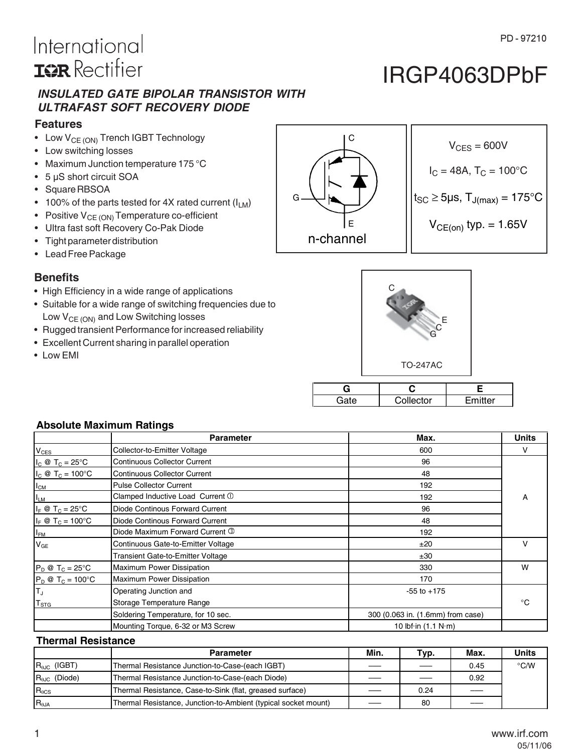# International **ISR** Rectifier

### *INSULATED GATE BIPOLAR TRANSISTOR WITH ULTRAFAST SOFT RECOVERY DIODE*

#### **Features**

- Low  $V_{CE (ON)}$  Trench IGBT Technology
- Low switching losses
- Maximum Junction temperature 175 °C
- 5 µS short circuit SOA
- Square RBSOA
- 100% of the parts tested for 4X rated current  $(I_{LM})$
- Positive  $V_{CE (ON)}$  Temperature co-efficient
- Ultra fast soft Recovery Co-Pak Diode
- Tight parameter distribution
- Lead Free Package

### **Benefits**

- High Efficiency in a wide range of applications
- Suitable for a wide range of switching frequencies due to Low  $V_{CE (ON)}$  and Low Switching losses
- Rugged transient Performance for increased reliability
- Excellent Current sharing in parallel operation
- Low EMI

|      | <b>TO-247AC</b> |         |
|------|-----------------|---------|
|      |                 |         |
| Gate | Collector       | Emitter |

#### **Absolute Maximum Ratings**

|                                  | <b>Parameter</b>                    | Max.                                | <b>Units</b> |
|----------------------------------|-------------------------------------|-------------------------------------|--------------|
| <b>V<sub>CES</sub></b>           | Collector-to-Emitter Voltage        | 600                                 | v            |
| $I_C \otimes T_C = 25^{\circ}C$  | <b>Continuous Collector Current</b> | 96                                  |              |
| $I_C \otimes T_C = 100^{\circ}C$ | <b>Continuous Collector Current</b> | 48                                  |              |
| $I_{CM}$                         | <b>Pulse Collector Current</b>      | 192                                 |              |
| $I_{LM}$                         | Clamped Inductive Load Current 10   | 192                                 | A            |
| $I_F \otimes T_C = 25^{\circ}C$  | Diode Continous Forward Current     | 96                                  |              |
| $I_F \otimes T_C = 100^{\circ}C$ | Diode Continous Forward Current     | 48                                  |              |
| $I_{FM}$                         | Diode Maximum Forward Current 3     | 192                                 |              |
| $V_{GE}$                         | Continuous Gate-to-Emitter Voltage  | ±20                                 | $\mathsf{V}$ |
|                                  | Transient Gate-to-Emitter Voltage   | ±30                                 |              |
| $P_D @ T_C = 25^{\circ}C$        | <b>Maximum Power Dissipation</b>    | 330                                 | W            |
| $P_D @ T_C = 100^{\circ}C$       | <b>Maximum Power Dissipation</b>    | 170                                 |              |
| Iт,                              | Operating Junction and              | $-55$ to $+175$                     |              |
| $T_{STG}$                        | Storage Temperature Range           |                                     | °€           |
|                                  | Soldering Temperature, for 10 sec.  | 300 (0.063 in. (1.6mm) from case)   |              |
|                                  | Mounting Torque, 6-32 or M3 Screw   | 10 lbf $\cdot$ in (1.1 N $\cdot$ m) |              |

#### **Thermal Resistance**

|                                   | <b>Parameter</b>                                               | Min. | Typ. | Max. | <b>Units</b> |
|-----------------------------------|----------------------------------------------------------------|------|------|------|--------------|
| $R_{\theta$ J <sub>C</sub> (IGBT) | Thermal Resistance Junction-to-Case-(each IGBT)                |      |      | 0.45 | °C/W         |
| $R_{0,IC}$ (Diode)                | Thermal Resistance Junction-to-Case-(each Diode)               |      |      | 0.92 |              |
| $R_{\theta CS}$                   | Thermal Resistance, Case-to-Sink (flat, greased surface)       |      | 0.24 |      |              |
| $R_{0,IA}$                        | Thermal Resistance, Junction-to-Ambient (typical socket mount) |      | 80   |      |              |



 $V_{CES} = 600V$  $I_C = 48A$ ,  $T_C = 100^{\circ}C$  $t_{SC} \geq 5 \mu s$ ,  $T_{J(max)} = 175^{\circ}C$  $V_{CE(on)}$  typ. = 1.65V



| www.irf.com |
|-------------|
| 05/11/06    |

# IRGP4063DPbF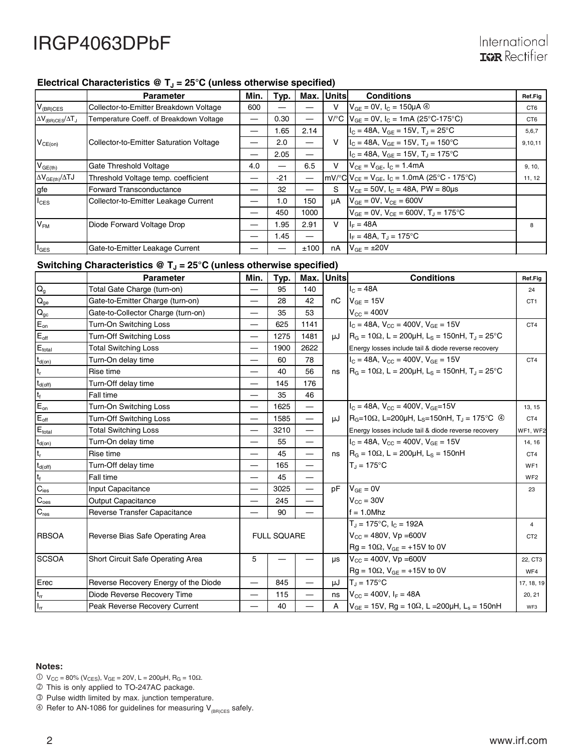#### Electrical Characteristics @ T<sub>J</sub> = 25°C (unless otherwise specified)

|                                 | <b>Parameter</b>                        | Min. | Typ.                     | Max.                     | Unitsl | <b>Conditions</b>                                                                                | Ref.Fig         |
|---------------------------------|-----------------------------------------|------|--------------------------|--------------------------|--------|--------------------------------------------------------------------------------------------------|-----------------|
| $V_{(BR)CES}$                   | Collector-to-Emitter Breakdown Voltage  | 600  |                          |                          |        | $V_{GF} = 0V$ , $I_C = 150 \mu A$ <sup>4</sup>                                                   | CT <sub>6</sub> |
| $\Delta V_{(BR)CES}/\Delta T_J$ | Temperature Coeff. of Breakdown Voltage |      | 0.30                     | $\overline{\phantom{0}}$ |        | $V^{\circ}C$ $V_{GF} = 0V$ , $I_C = 1mA$ (25°C-175°C)                                            | CT <sub>6</sub> |
|                                 |                                         | –    | 1.65                     | 2.14                     |        | $I_{C}$ = 48A, $V_{GF}$ = 15V, T <sub>J</sub> = 25°C                                             | 5,6,7           |
| $V_{CE(on)}$                    | Collector-to-Emitter Saturation Voltage |      | 2.0                      |                          | $\vee$ | $I_c = 48A$ , $V_{GE} = 15V$ , $T_J = 150^{\circ}C$                                              | 9,10,11         |
|                                 |                                         |      | 2.05                     |                          |        | $I_C = 48A$ , $V_{GF} = 15V$ , $T_I = 175^{\circ}C$                                              |                 |
| $V_{GE(th)}$                    | Gate Threshold Voltage                  | 4.0  | $\overline{\phantom{0}}$ | 6.5                      | v      | $V_{CE} = V_{GE}$ , $I_C = 1.4mA$                                                                | 9, 10,          |
| $\Delta V_{GE(th)}/\Delta TJ$   | Threshold Voltage temp. coefficient     |      | $-21$                    | $\overline{\phantom{0}}$ |        | $mV$ <sup>o</sup> C $V_{CE}$ = $V_{GE}$ , $I_C$ = 1.0mA (25 <sup>o</sup> C - 175 <sup>o</sup> C) | 11, 12          |
| gfe                             | Forward Transconductance                |      | 32                       |                          | S.     | $V_{CF}$ = 50V, $I_C$ = 48A, PW = 80µs                                                           |                 |
| $I_{CES}$                       | Collector-to-Emitter Leakage Current    |      | 1.0                      | 150                      | uA     | $V_{GE} = 0V$ , $V_{CE} = 600V$                                                                  |                 |
|                                 |                                         |      | 450                      | 1000                     |        | $V_{GF} = 0V$ , $V_{CF} = 600V$ , $T_{J} = 175^{\circ}C$                                         |                 |
| V <sub>FM</sub>                 | Diode Forward Voltage Drop              |      | 1.95                     | 2.91                     | v      | $I_F = 48A$                                                                                      | 8               |
|                                 |                                         |      | 1.45                     |                          |        | $I_F = 48A$ , $T_A = 175^{\circ}C$                                                               |                 |
| $I_{\text{GES}}$                | Gate-to-Emitter Leakage Current         |      |                          | ±100                     | nA     | $V_{GF} = \pm 20V$                                                                               |                 |

### Switching Characteristics @ T<sub>J</sub> = 25°C (unless otherwise specified)

|                             | <b>Parameter</b>                     | Min.                     | Typ.               | Max.                     | <b>Units</b> | <b>Conditions</b>                                                                                       | Ref.Fig         |
|-----------------------------|--------------------------------------|--------------------------|--------------------|--------------------------|--------------|---------------------------------------------------------------------------------------------------------|-----------------|
| $Q_{g}$                     | Total Gate Charge (turn-on)          |                          | 95                 | 140                      |              | $I_C = 48A$                                                                                             | 24              |
| $\overline{Q_{ge}}$         | Gate-to-Emitter Charge (turn-on)     | —                        | 28                 | 42                       | nC           | $V_{GE} = 15V$                                                                                          | CT <sub>1</sub> |
| $\mathbf{Q}_\mathrm{gc}$    | Gate-to-Collector Charge (turn-on)   |                          | 35                 | 53                       |              | $V_{CC}$ = 400V                                                                                         |                 |
| $E_{on}$                    | Turn-On Switching Loss               | —                        | 625                | 1141                     |              | $I_C = 48A$ , $V_{CC} = 400V$ , $V_{GE} = 15V$                                                          | CT <sub>4</sub> |
| $E_{\text{off}}$            | <b>Turn-Off Switching Loss</b>       |                          | 1275               | 1481                     |              | $\mu$ J   R <sub>G</sub> = 10 $\Omega$ , L = 200 $\mu$ H, L <sub>S</sub> = 150nH, T <sub>J</sub> = 25°C |                 |
| $E_{\text{total}}$          | <b>Total Switching Loss</b>          |                          | 1900               | 2622                     |              | Energy losses include tail & diode reverse recovery                                                     |                 |
| $t_{\text{d}(on)}$          | Turn-On delay time                   | —                        | 60                 | 78                       |              | $I_C = 48A$ , $V_{CC} = 400V$ , $V_{GF} = 15V$                                                          | CT4             |
| $t_r$                       | Rise time                            |                          | 40                 | 56                       | ns           | $R_G = 10\Omega$ , L = 200µH, L <sub>S</sub> = 150nH, T <sub>J</sub> = 25°C                             |                 |
| $t_{\text{d(off)}}$         | Turn-Off delay time                  | —                        | 145                | 176                      |              |                                                                                                         |                 |
| $\mathsf{t}_{\mathsf{f}}$   | Fall time                            |                          | 35                 | 46                       |              |                                                                                                         |                 |
| $\mathsf{E}_{\mathsf{on}}$  | Turn-On Switching Loss               | $\overline{\phantom{0}}$ | 1625               | $\qquad \qquad$          |              | $I_C = 48A$ , $V_{CC} = 400V$ , $V_{GE} = 15V$                                                          | 13, 15          |
| $E_{\text{off}}$            | Turn-Off Switching Loss              | $\overline{\phantom{0}}$ | 1585               | —                        | uJ           | $R_G = 10\Omega$ , L=200µH, L <sub>S</sub> =150nH, T <sub>J</sub> = 175°C $\circledcirc$                | CT4             |
| $E_{\text{total}}$          | <b>Total Switching Loss</b>          | —                        | 3210               | $\overline{\phantom{0}}$ |              | Energy losses include tail & diode reverse recovery                                                     | WF1, WF2        |
| $t_{d(on)}$                 | Turn-On delay time                   | $\overline{\phantom{0}}$ | 55                 | $\overline{\phantom{0}}$ |              | $I_C = 48A$ , $V_{CC} = 400V$ , $V_{GF} = 15V$                                                          | 14, 16          |
| $\mathsf{t}_\mathsf{r}$     | Rise time                            |                          | 45                 | $\overline{\phantom{0}}$ | ns           | $RG = 10\Omega$ , L = 200µH, L <sub>S</sub> = 150nH                                                     | CT4             |
| $t_{d(\text{off})}$         | Turn-Off delay time                  | —                        | 165                | $\overline{\phantom{0}}$ |              | $T_{d} = 175^{\circ}C$                                                                                  | WF <sub>1</sub> |
| $t_f$                       | Fall time                            |                          | 45                 | $\overline{\phantom{0}}$ |              |                                                                                                         | WF <sub>2</sub> |
| $C_{\text{ies}}$            | Input Capacitance                    | $\overline{\phantom{0}}$ | 3025               | $\overline{\phantom{0}}$ | pF           | $V_{GF} = 0V$                                                                                           | 23              |
| $\overline{C}_{\text{oes}}$ | <b>Output Capacitance</b>            | —                        | 245                | —                        |              | $V_{CC}$ = 30V                                                                                          |                 |
| $C_{res}$                   | Reverse Transfer Capacitance         |                          | 90                 |                          |              | $f = 1.0$ Mhz                                                                                           |                 |
|                             |                                      |                          |                    |                          |              | $T_J = 175^{\circ}C$ , $I_C = 192A$                                                                     | $\overline{4}$  |
| <b>RBSOA</b>                | Reverse Bias Safe Operating Area     |                          | <b>FULL SQUARE</b> |                          |              | $V_{CC} = 480V$ , $Vp = 600V$                                                                           | CT <sub>2</sub> |
|                             |                                      |                          |                    |                          |              | $Rg = 10\Omega$ , $V_{GE} = +15V$ to 0V                                                                 |                 |
| <b>ISCSOA</b>               | Short Circuit Safe Operating Area    | 5                        |                    |                          | <b>us</b>    | $V_{CC}$ = 400V, Vp = 600V                                                                              | 22, CT3         |
|                             |                                      |                          |                    |                          |              | $Rg = 10\Omega$ , $V_{GE} = +15V$ to 0V                                                                 | WF4             |
| Erec                        | Reverse Recovery Energy of the Diode |                          | 845                | $\overline{\phantom{0}}$ | μJ           | $T_J = 175^{\circ}C$                                                                                    | 17, 18, 19      |
| $t_{rr}$                    | Diode Reverse Recovery Time          | $\overline{\phantom{0}}$ | 115                | $\overline{\phantom{0}}$ | ns           | $V_{CG} = 400V$ , $I_F = 48A$                                                                           | 20, 21          |
| $I_{rr}$                    | Peak Reverse Recovery Current        | —                        | 40                 | $\overline{\phantom{0}}$ | A            | $V_{GF}$ = 15V, Rg = 10 $\Omega$ , L = 200 $\mu$ H, L <sub>s</sub> = 150nH                              | WF3             |

#### **Notes:**

- $0 \text{ V}_{CC} = 80\% \text{ (V}_{CES)}$ ,  $V_{GE} = 20 \text{ V}$ ,  $L = 200 \mu \text{H}$ ,  $R_G = 10 \Omega$ .
- This is only applied to TO-247AC package.
- Pulse width limited by max. junction temperature.
- $\circledast$  Refer to AN-1086 for guidelines for measuring V<sub>(BR)CES</sub> safely.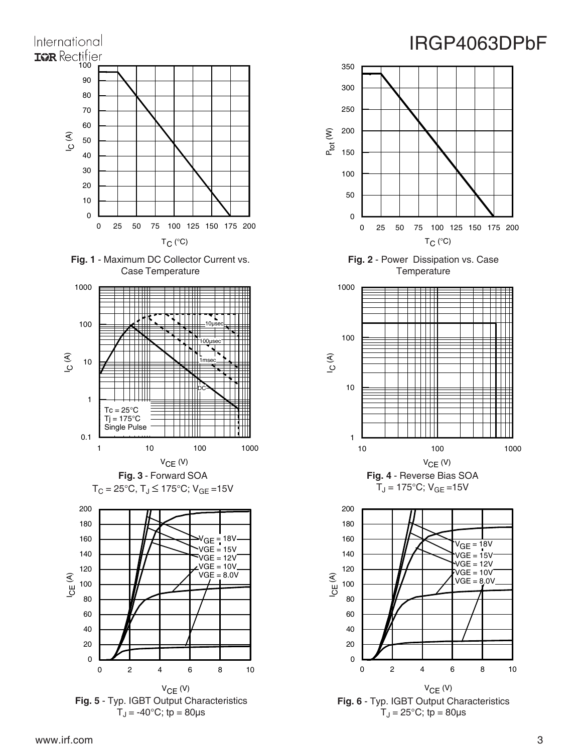





160 180 200

1

10

100

ع<br>ا

1000

0

50

100

150

P<sub>tot</sub> (W)

200

250

300

350

**Fig. 6** - Typ. IGBT Output Characteristics  $T_J = 25$ °C; tp = 80 $\mu$ s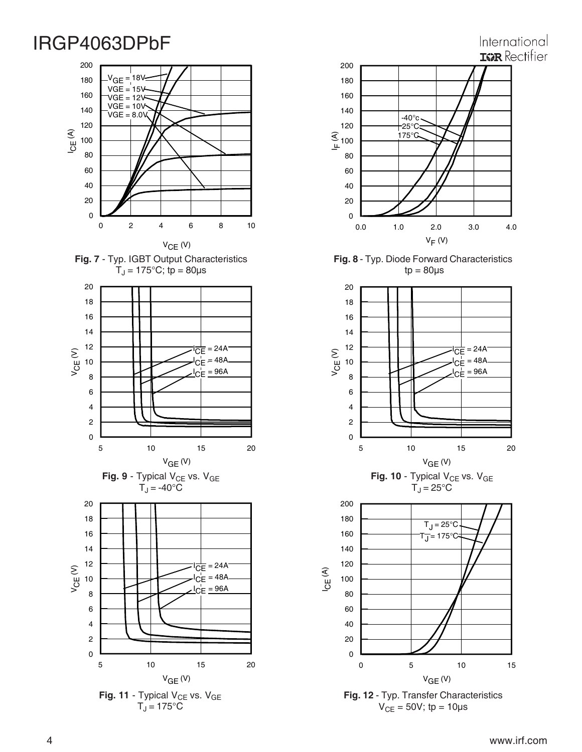### International **ISR** Rectifier





 $T_J = 175^{\circ}C$ 



**Fig. 8** - Typ. Diode Forward Characteristics  $tp = 80\mu s$ 



**Fig. 12** - Typ. Transfer Characteristics  $V_{CE} = 50V$ ; tp = 10µs

 $V_{GE}$  (V)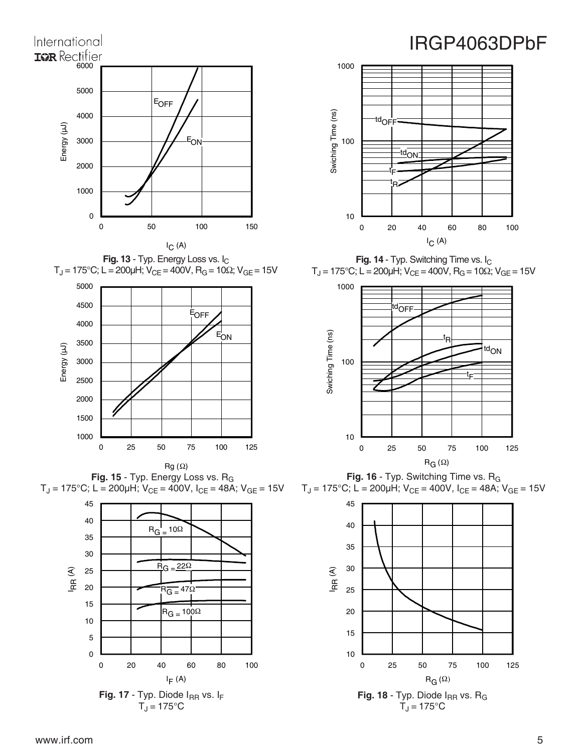

**Fig. 13** - Typ. Energy Loss vs. I<sub>C</sub>  $T_J$  = 175°C; L = 200μH; V<sub>CE</sub> = 400V, R<sub>G</sub> = 10Ω; V<sub>GE</sub> = 15V



Fig. 15 - Typ. Energy Loss vs. R<sub>G</sub>  $T_J = 175^{\circ}$ C; L = 200µH; V<sub>CE</sub> = 400V, I<sub>CE</sub> = 48A; V<sub>GE</sub> = 15V





**Fig. 14** - Typ. Switching Time vs. I<sub>C</sub>  $T_J$  = 175°C; L = 200μH; V<sub>CE</sub> = 400V, R<sub>G</sub> = 10Ω; V<sub>GE</sub> = 15V



Fig. 16 - Typ. Switching Time vs. R<sub>G</sub>  $T_J = 175^{\circ}$ C; L = 200µH; V<sub>CE</sub> = 400V, I<sub>CE</sub> = 48A; V<sub>GE</sub> = 15V

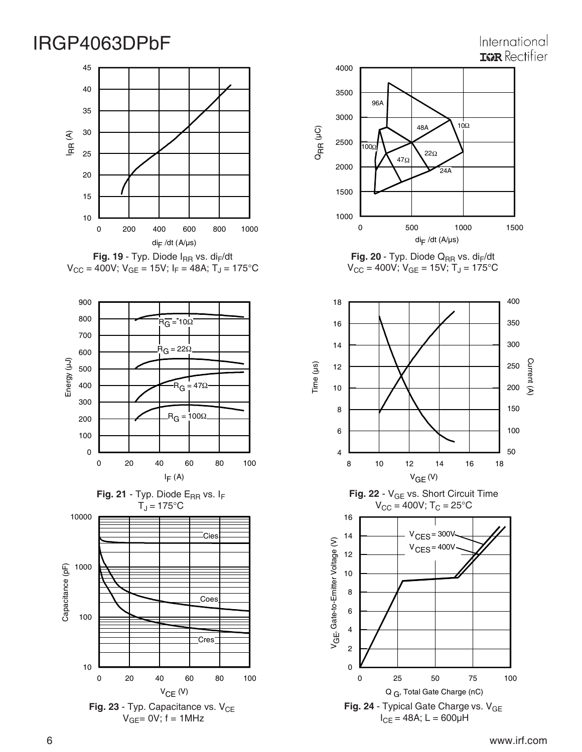### International **IGR** Rectifier



Fig. 19 - Typ. Diode I<sub>RR</sub> vs. di<sub>F</sub>/dt  $V_{CC}$  = 400V;  $V_{GE}$  = 15V;  $I_F$  = 48A;  $T_J$  = 175°C







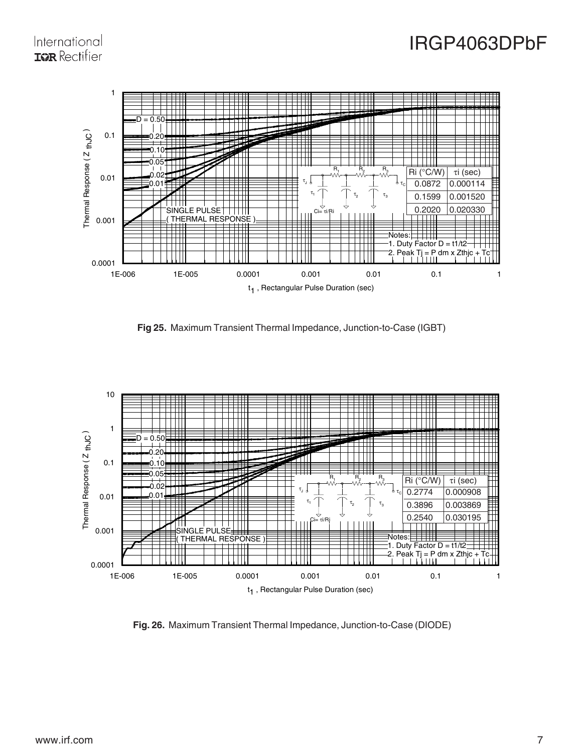### International **IGR** Rectifier



**Fig 25.** Maximum Transient Thermal Impedance, Junction-to-Case (IGBT)



**Fig. 26.** Maximum Transient Thermal Impedance, Junction-to-Case (DIODE)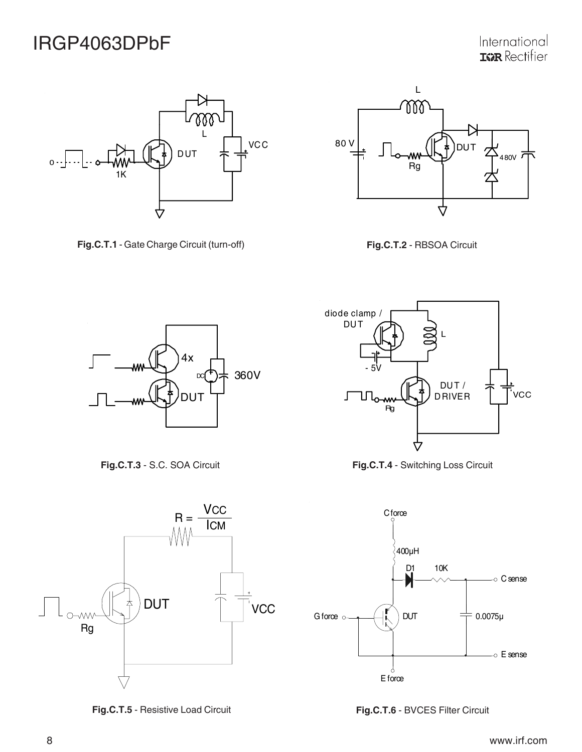

**Fig.C.T.1** - Gate Charge Circuit (turn-off) **Fig.C.T.2** - RBSOA Circuit









**Fig.C.T.5** - Resistive Load Circuit







**Fig.C.T.6** - BVCES Filter Circuit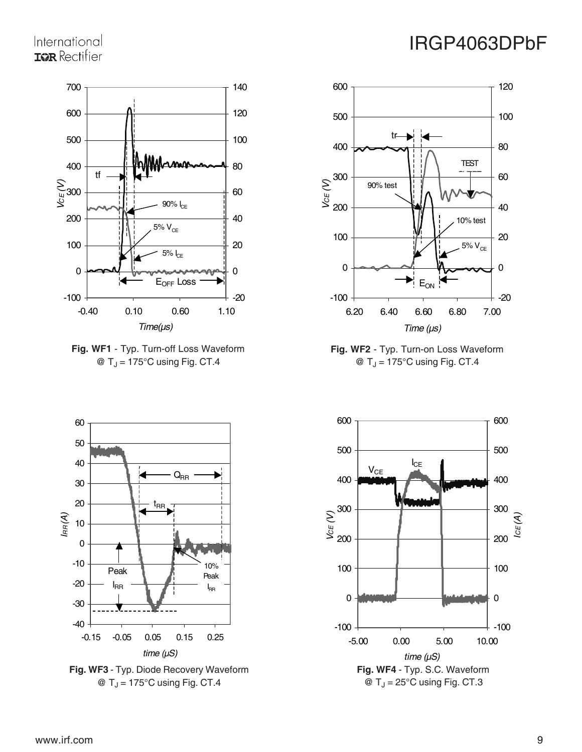## International **IGR** Rectifier











 $\textcircled{a}$  T<sub>J</sub> = 175°C using Fig. CT.4



# IRGP4063DPbF